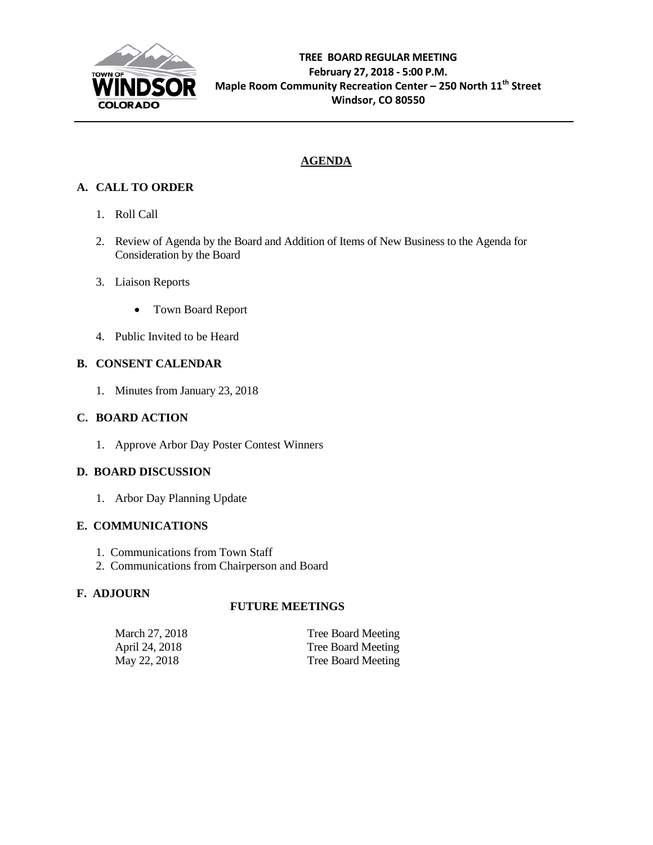

# **AGENDA**

# **A. CALL TO ORDER**

- 1. Roll Call
- 2. Review of Agenda by the Board and Addition of Items of New Business to the Agenda for Consideration by the Board
- 3. Liaison Reports
	- Town Board Report
- 4. Public Invited to be Heard

## **B. CONSENT CALENDAR**

1. Minutes from January 23, 2018

## **C. BOARD ACTION**

1. Approve Arbor Day Poster Contest Winners

## **D. BOARD DISCUSSION**

1. Arbor Day Planning Update

## **E. COMMUNICATIONS**

- 1. Communications from Town Staff
- 2. Communications from Chairperson and Board

## **F. ADJOURN**

## **FUTURE MEETINGS**

| March 27, 2018 | Tree Board Meeting |
|----------------|--------------------|
| April 24, 2018 | Tree Board Meeting |
| May 22, 2018   | Tree Board Meeting |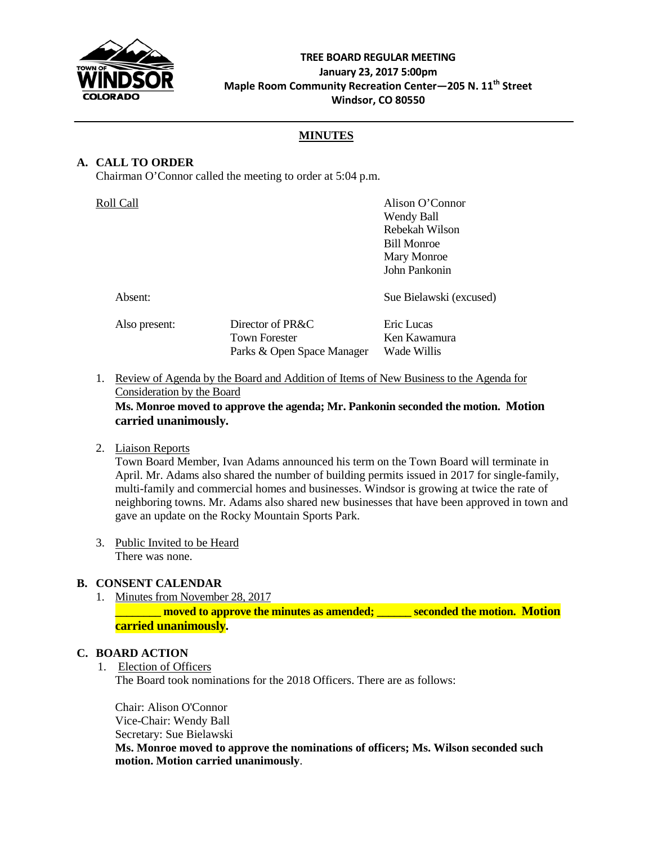

## **TREE BOARD REGULAR MEETING January 23, 2017 5:00pm Maple Room Community Recreation Center—205 N. 11th Street Windsor, CO 80550**

## **MINUTES**

### **A. CALL TO ORDER**

Chairman O'Connor called the meeting to order at 5:04 p.m.

| Alison O'Connor                           | Roll Call     |
|-------------------------------------------|---------------|
| Wendy Ball                                |               |
| Rebekah Wilson                            |               |
| <b>Bill Monroe</b>                        |               |
| Mary Monroe                               |               |
| John Pankonin                             |               |
| Sue Bielawski (excused)                   | Absent:       |
| Director of PR&C<br>Eric Lucas            | Also present: |
| <b>Town Forester</b><br>Ken Kawamura      |               |
| Parks & Open Space Manager<br>Wade Willis |               |
|                                           |               |

1. Review of Agenda by the Board and Addition of Items of New Business to the Agenda for Consideration by the Board

**Ms. Monroe moved to approve the agenda; Mr. Pankonin seconded the motion. Motion carried unanimously.**

#### 2. Liaison Reports

Town Board Member, Ivan Adams announced his term on the Town Board will terminate in April. Mr. Adams also shared the number of building permits issued in 2017 for single-family, multi-family and commercial homes and businesses. Windsor is growing at twice the rate of neighboring towns. Mr. Adams also shared new businesses that have been approved in town and gave an update on the Rocky Mountain Sports Park.

3. Public Invited to be Heard There was none.

## **B. CONSENT CALENDAR**

1. Minutes from November 28, 2017 **EXECUTE: https://web.com/inducerty-moved to approve the minutes as amended; the seconded the motion. Motion carried unanimously.**

#### **C. BOARD ACTION**

1. Election of Officers

The Board took nominations for the 2018 Officers. There are as follows:

Chair: Alison O'Connor Vice-Chair: Wendy Ball Secretary: Sue Bielawski **Ms. Monroe moved to approve the nominations of officers; Ms. Wilson seconded such motion. Motion carried unanimously**.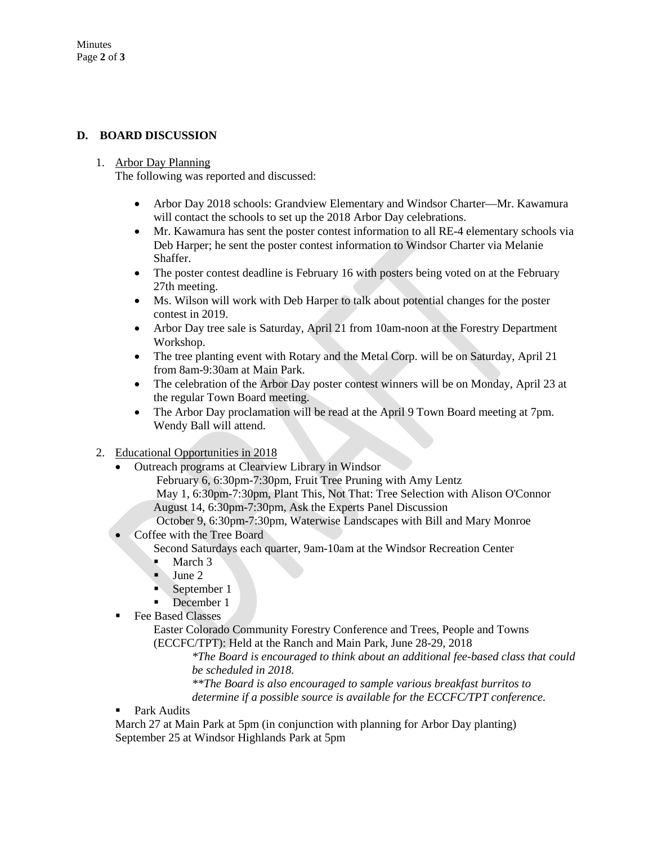## **D. BOARD DISCUSSION**

#### 1. Arbor Day Planning

The following was reported and discussed:

- Arbor Day 2018 schools: Grandview Elementary and Windsor Charter—Mr. Kawamura will contact the schools to set up the 2018 Arbor Day celebrations.
- Mr. Kawamura has sent the poster contest information to all RE-4 elementary schools via Deb Harper; he sent the poster contest information to Windsor Charter via Melanie Shaffer.
- The poster contest deadline is February 16 with posters being voted on at the February 27th meeting.
- Ms. Wilson will work with Deb Harper to talk about potential changes for the poster contest in 2019.
- Arbor Day tree sale is Saturday, April 21 from 10am-noon at the Forestry Department Workshop.
- The tree planting event with Rotary and the Metal Corp. will be on Saturday, April 21 from 8am-9:30am at Main Park.
- The celebration of the Arbor Day poster contest winners will be on Monday, April 23 at the regular Town Board meeting.
- The Arbor Day proclamation will be read at the April 9 Town Board meeting at 7pm. Wendy Ball will attend.
- 2. Educational Opportunities in 2018
	- Outreach programs at Clearview Library in Windsor
		- February 6, 6:30pm-7:30pm, Fruit Tree Pruning with Amy Lentz
		- May 1, 6:30pm-7:30pm, Plant This, Not That: Tree Selection with Alison O'Connor August 14, 6:30pm-7:30pm, Ask the Experts Panel Discussion
		- October 9, 6:30pm-7:30pm, Waterwise Landscapes with Bill and Mary Monroe
	- Coffee with the Tree Board Second Saturdays each quarter, 9am-10am at the Windsor Recreation Center March 3
		- $June 2$
		-
		- September 1
		- December 1
	- **Fee Based Classes**

Easter Colorado Community Forestry Conference and Trees, People and Towns (ECCFC/TPT): Held at the Ranch and Main Park, June 28-29, 2018

*\*The Board is encouraged to think about an additional fee-based class that could be scheduled in 2018.*

*\*\*The Board is also encouraged to sample various breakfast burritos to determine if a possible source is available for the ECCFC/TPT conference.*

**Park Audits** 

March 27 at Main Park at 5pm (in conjunction with planning for Arbor Day planting) September 25 at Windsor Highlands Park at 5pm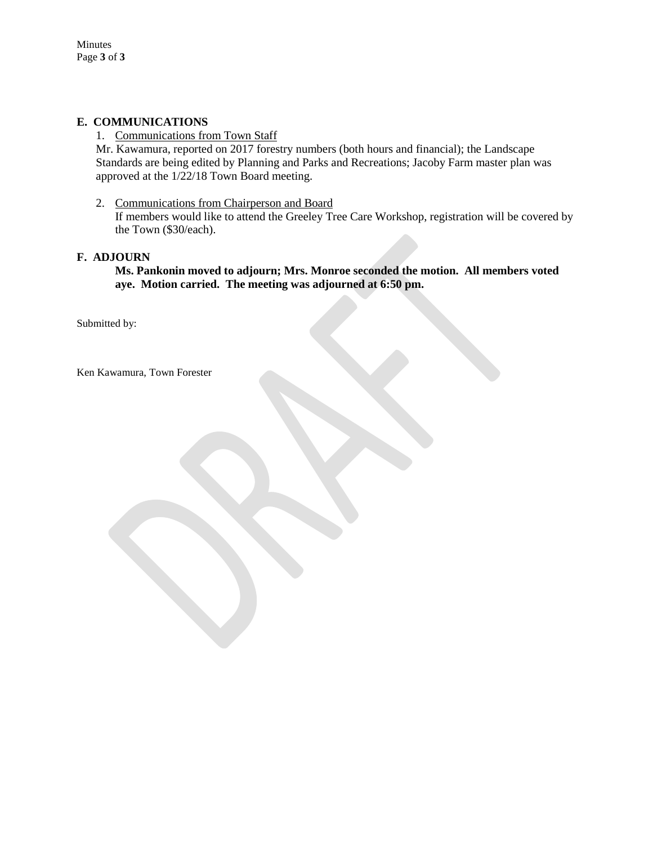### **E. COMMUNICATIONS**

1. Communications from Town Staff

Mr. Kawamura, reported on 2017 forestry numbers (both hours and financial); the Landscape Standards are being edited by Planning and Parks and Recreations; Jacoby Farm master plan was approved at the 1/22/18 Town Board meeting.

2. Communications from Chairperson and Board If members would like to attend the Greeley Tree Care Workshop, registration will be covered by the Town (\$30/each).

#### **F. ADJOURN**

**Ms. Pankonin moved to adjourn; Mrs. Monroe seconded the motion. All members voted aye. Motion carried. The meeting was adjourned at 6:50 pm.**

Submitted by:

Ken Kawamura, Town Forester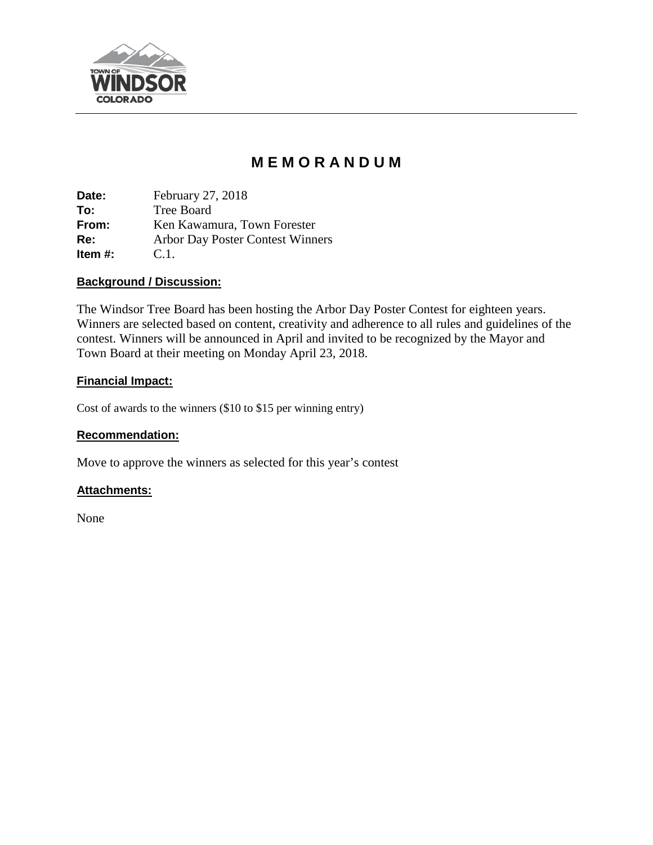

# **M E M O R A N D U M**

**Date:** February 27, 2018 **To:** Tree Board **From:** Ken Kawamura, Town Forester **Re:** Arbor Day Poster Contest Winners **Item #:** C.1.

## **Background / Discussion:**

The Windsor Tree Board has been hosting the Arbor Day Poster Contest for eighteen years. Winners are selected based on content, creativity and adherence to all rules and guidelines of the contest. Winners will be announced in April and invited to be recognized by the Mayor and Town Board at their meeting on Monday April 23, 2018.

## **Financial Impact:**

Cost of awards to the winners (\$10 to \$15 per winning entry)

## **Recommendation:**

Move to approve the winners as selected for this year's contest

# **Attachments:**

None